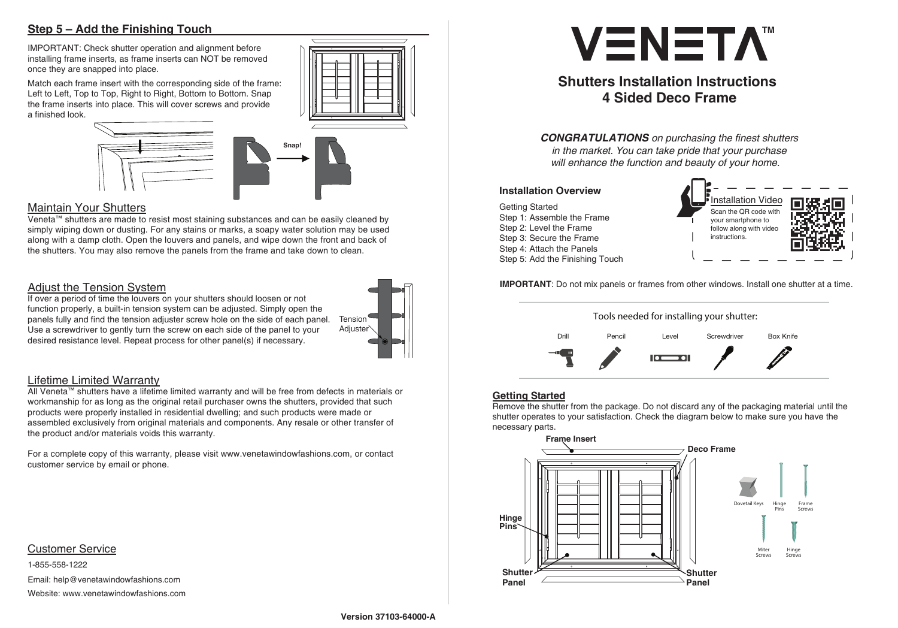# **Step 5 – Add the Finishing Touch**

IMPORTANT: Check shutter operation and alignment before installing frame inserts, as frame inserts can NOT be removed once they are snapped into place.

Match each frame insert with the corresponding side of the frame: Left to Left, Top to Top, Right to Right, Bottom to Bottom. Snap the frame inserts into place. This will cover screws and provide a finished look.



Veneta™ shutters are made to resist most staining substances and can be easily cleaned by simply wiping down or dusting. For any stains or marks, a soapy water solution may be used along with a damp cloth. Open the louvers and panels, and wipe down the front and back of the shutters. You may also remove the panels from the frame and take down to clean.

# Adjust the Tension System

If over a period of time the louvers on your shutters should loosen or not function properly, a built-in tension system can be adjusted. Simply open the panels fully and find the tension adjuster screw hole on the side of each panel. Use a screwdriver to gently turn the screw on each side of the panel to your desired resistance level. Repeat process for other panel(s) if necessary.

# Lifetime Limited Warranty

### Customer Service

All Veneta™ shutters have a lifetime limited warranty and will be free from defects in materials or workmanship for as long as the original retail purchaser owns the shutters, provided that such products were properly installed in residential dwelling; and such products were made or assembled exclusively from original materials and components. Any resale or other transfer of the product and/or materials voids this warranty.

For a complete copy of this warranty, please visit www.venetawindowfashions.com, or contact customer service by email or phone.

1-855-558-1222 Email: help@venetawindowfashions.com Website: www.venetawindowfashions.com

# **VENETA**

**Snap!**

# **Maintain Your Shutters**



# **Shutters Installation Instructions 4 Sided Deco Frame**

*CONGRATULATIONS on purchasing the* fi*nest shutters in the market. You can take pride that your purchase will enhance the function and beauty of your home.*

#### **IMPORTANT**: Do not mix panels or frames from other windows. Install one shutter at a time.



Getting Started Step 1: Assemble the Frame Step 2: Level the Frame Step 3: Secure the Frame Step 4: Attach the Panels Step 5: Add the Finishing Touch

#### **Installation Overview**



### **Getting Started**

Remove the shutter from the package. Do not discard any of the packaging material until the shutter operates to your satisfaction. Check the diagram below to make sure you have the necessary parts.